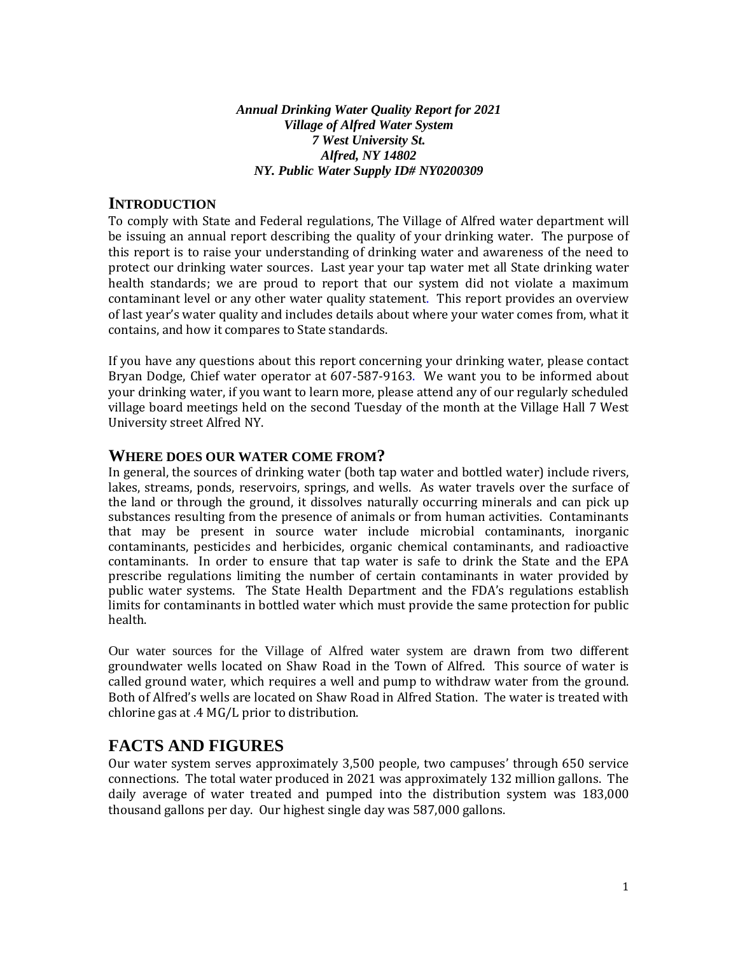*Annual Drinking Water Quality Report for 2021 Village of Alfred Water System 7 West University St. Alfred, NY 14802 NY. Public Water Supply ID# NY0200309* 

### **INTRODUCTION**

To comply with State and Federal regulations, The Village of Alfred water department will be issuing an annual report describing the quality of your drinking water. The purpose of this report is to raise your understanding of drinking water and awareness of the need to protect our drinking water sources. Last year your tap water met all State drinking water health standards; we are proud to report that our system did not violate a maximum contaminant level or any other water quality statement. This report provides an overview of last year's water quality and includes details about where your water comes from, what it contains, and how it compares to State standards.

If you have any questions about this report concerning your drinking water, please contact Bryan Dodge, Chief water operator at 607-587-9163. We want you to be informed about your drinking water, if you want to learn more, please attend any of our regularly scheduled village board meetings held on the second Tuesday of the month at the Village Hall 7 West University street Alfred NY.

### **WHERE DOES OUR WATER COME FROM?**

In general, the sources of drinking water (both tap water and bottled water) include rivers, lakes, streams, ponds, reservoirs, springs, and wells. As water travels over the surface of the land or through the ground, it dissolves naturally occurring minerals and can pick up substances resulting from the presence of animals or from human activities. Contaminants that may be present in source water include microbial contaminants, inorganic contaminants, pesticides and herbicides, organic chemical contaminants, and radioactive contaminants. In order to ensure that tap water is safe to drink the State and the EPA prescribe regulations limiting the number of certain contaminants in water provided by public water systems. The State Health Department and the FDA's regulations establish limits for contaminants in bottled water which must provide the same protection for public health.

Our water sources for the Village of Alfred water system are drawn from two different groundwater wells located on Shaw Road in the Town of Alfred. This source of water is called ground water, which requires a well and pump to withdraw water from the ground. Both of Alfred's wells are located on Shaw Road in Alfred Station. The water is treated with chlorine gas at .4 MG/L prior to distribution.

## **FACTS AND FIGURES**

Our water system serves approximately 3,500 people, two campuses' through 650 service connections. The total water produced in 2021 was approximately 132 million gallons. The daily average of water treated and pumped into the distribution system was 183,000 thousand gallons per day. Our highest single day was 587,000 gallons.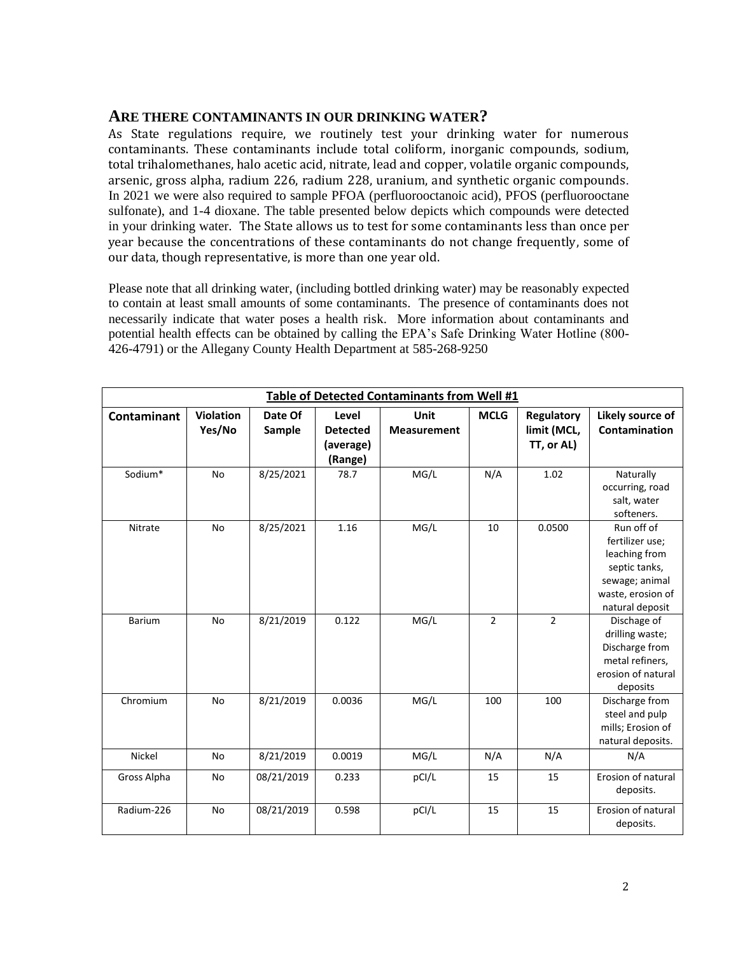#### **ARE THERE CONTAMINANTS IN OUR DRINKING WATER?**

As State regulations require, we routinely test your drinking water for numerous contaminants. These contaminants include total coliform, inorganic compounds, sodium, total trihalomethanes, halo acetic acid, nitrate, lead and copper, volatile organic compounds, arsenic, gross alpha, radium 226, radium 228, uranium, and synthetic organic compounds. In 2021 we were also required to sample PFOA (perfluorooctanoic acid), PFOS (perfluorooctane sulfonate), and 1-4 dioxane. The table presented below depicts which compounds were detected in your drinking water. The State allows us to test for some contaminants less than once per year because the concentrations of these contaminants do not change frequently, some of our data, though representative, is more than one year old.

Please note that all drinking water, (including bottled drinking water) may be reasonably expected to contain at least small amounts of some contaminants. The presence of contaminants does not necessarily indicate that water poses a health risk. More information about contaminants and potential health effects can be obtained by calling the EPA's Safe Drinking Water Hotline (800- 426-4791) or the Allegany County Health Department at 585-268-9250

| <b>Table of Detected Contaminants from Well #1</b> |                            |                   |                                                  |                            |                |                                         |                                                                                                                           |  |
|----------------------------------------------------|----------------------------|-------------------|--------------------------------------------------|----------------------------|----------------|-----------------------------------------|---------------------------------------------------------------------------------------------------------------------------|--|
| Contaminant                                        | <b>Violation</b><br>Yes/No | Date Of<br>Sample | Level<br><b>Detected</b><br>(average)<br>(Range) | Unit<br><b>Measurement</b> | <b>MCLG</b>    | Regulatory<br>limit (MCL,<br>TT, or AL) | Likely source of<br>Contamination                                                                                         |  |
| Sodium*                                            | <b>No</b>                  | 8/25/2021         | 78.7                                             | MG/L                       | N/A            | 1.02                                    | Naturally<br>occurring, road<br>salt, water<br>softeners.                                                                 |  |
| Nitrate                                            | <b>No</b>                  | 8/25/2021         | 1.16                                             | MG/L                       | 10             | 0.0500                                  | Run off of<br>fertilizer use;<br>leaching from<br>septic tanks,<br>sewage; animal<br>waste, erosion of<br>natural deposit |  |
| <b>Barium</b>                                      | <b>No</b>                  | 8/21/2019         | 0.122                                            | MG/L                       | $\overline{2}$ | $\overline{2}$                          | Dischage of<br>drilling waste;<br>Discharge from<br>metal refiners,<br>erosion of natural<br>deposits                     |  |
| Chromium                                           | <b>No</b>                  | 8/21/2019         | 0.0036                                           | MG/L                       | 100            | 100                                     | Discharge from<br>steel and pulp<br>mills; Erosion of<br>natural deposits.                                                |  |
| Nickel                                             | <b>No</b>                  | 8/21/2019         | 0.0019                                           | MG/L                       | N/A            | N/A                                     | N/A                                                                                                                       |  |
| Gross Alpha                                        | No                         | 08/21/2019        | 0.233                                            | pCI/L                      | 15             | 15                                      | Erosion of natural<br>deposits.                                                                                           |  |
| Radium-226                                         | No                         | 08/21/2019        | 0.598                                            | pCI/L                      | 15             | 15                                      | Erosion of natural<br>deposits.                                                                                           |  |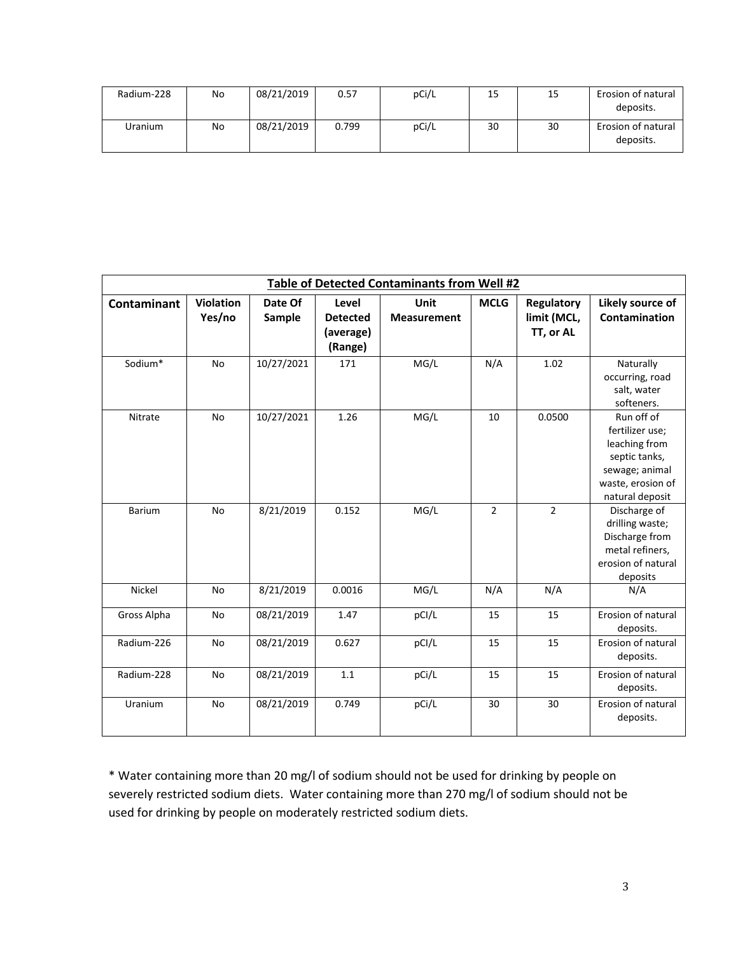| Radium-228     | No | 08/21/2019 | 0.57  | pCi/L | 15 | 15 | Erosion of natural<br>deposits. |
|----------------|----|------------|-------|-------|----|----|---------------------------------|
| <b>Uranium</b> | No | 08/21/2019 | 0.799 | pCi/L | 30 | 30 | Erosion of natural<br>deposits. |

| <b>Table of Detected Contaminants from Well #2</b> |                  |            |                 |                    |                |                |                    |  |
|----------------------------------------------------|------------------|------------|-----------------|--------------------|----------------|----------------|--------------------|--|
| <b>Contaminant</b>                                 | <b>Violation</b> | Date Of    | Level           | <b>Unit</b>        | <b>MCLG</b>    | Regulatory     | Likely source of   |  |
|                                                    | Yes/no           | Sample     | <b>Detected</b> | <b>Measurement</b> |                | limit (MCL,    | Contamination      |  |
|                                                    |                  |            | (average)       |                    |                | TT, or AL      |                    |  |
|                                                    |                  |            | (Range)         |                    |                |                |                    |  |
| Sodium*                                            | <b>No</b>        | 10/27/2021 | 171             | MG/L               | N/A            | 1.02           | Naturally          |  |
|                                                    |                  |            |                 |                    |                |                | occurring, road    |  |
|                                                    |                  |            |                 |                    |                |                | salt, water        |  |
|                                                    |                  |            |                 |                    |                |                | softeners.         |  |
| Nitrate                                            | <b>No</b>        | 10/27/2021 | 1.26            | MG/L               | 10             | 0.0500         | Run off of         |  |
|                                                    |                  |            |                 |                    |                |                | fertilizer use;    |  |
|                                                    |                  |            |                 |                    |                |                | leaching from      |  |
|                                                    |                  |            |                 |                    |                |                | septic tanks,      |  |
|                                                    |                  |            |                 |                    |                |                | sewage; animal     |  |
|                                                    |                  |            |                 |                    |                |                | waste, erosion of  |  |
|                                                    |                  |            |                 |                    |                |                | natural deposit    |  |
| <b>Barium</b>                                      | <b>No</b>        | 8/21/2019  | 0.152           | MG/L               | $\overline{2}$ | $\overline{2}$ | Discharge of       |  |
|                                                    |                  |            |                 |                    |                |                | drilling waste;    |  |
|                                                    |                  |            |                 |                    |                |                | Discharge from     |  |
|                                                    |                  |            |                 |                    |                |                | metal refiners,    |  |
|                                                    |                  |            |                 |                    |                |                | erosion of natural |  |
|                                                    |                  |            |                 |                    |                |                | deposits           |  |
| Nickel                                             | <b>No</b>        | 8/21/2019  | 0.0016          | MG/L               | N/A            | N/A            | N/A                |  |
| Gross Alpha                                        | <b>No</b>        | 08/21/2019 | 1.47            | pCI/L              | 15             | 15             | Erosion of natural |  |
|                                                    |                  |            |                 |                    |                |                | deposits.          |  |
| Radium-226                                         | No               | 08/21/2019 | 0.627           | pCI/L              | 15             | 15             | Erosion of natural |  |
|                                                    |                  |            |                 |                    |                |                | deposits.          |  |
| Radium-228                                         | <b>No</b>        | 08/21/2019 | 1.1             | pCi/L              | 15             | 15             | Erosion of natural |  |
|                                                    |                  |            |                 |                    |                |                | deposits.          |  |
| Uranium                                            | <b>No</b>        | 08/21/2019 | 0.749           | pCi/L              | 30             | 30             | Erosion of natural |  |
|                                                    |                  |            |                 |                    |                |                | deposits.          |  |
|                                                    |                  |            |                 |                    |                |                |                    |  |

\* Water containing more than 20 mg/l of sodium should not be used for drinking by people on severely restricted sodium diets. Water containing more than 270 mg/l of sodium should not be used for drinking by people on moderately restricted sodium diets.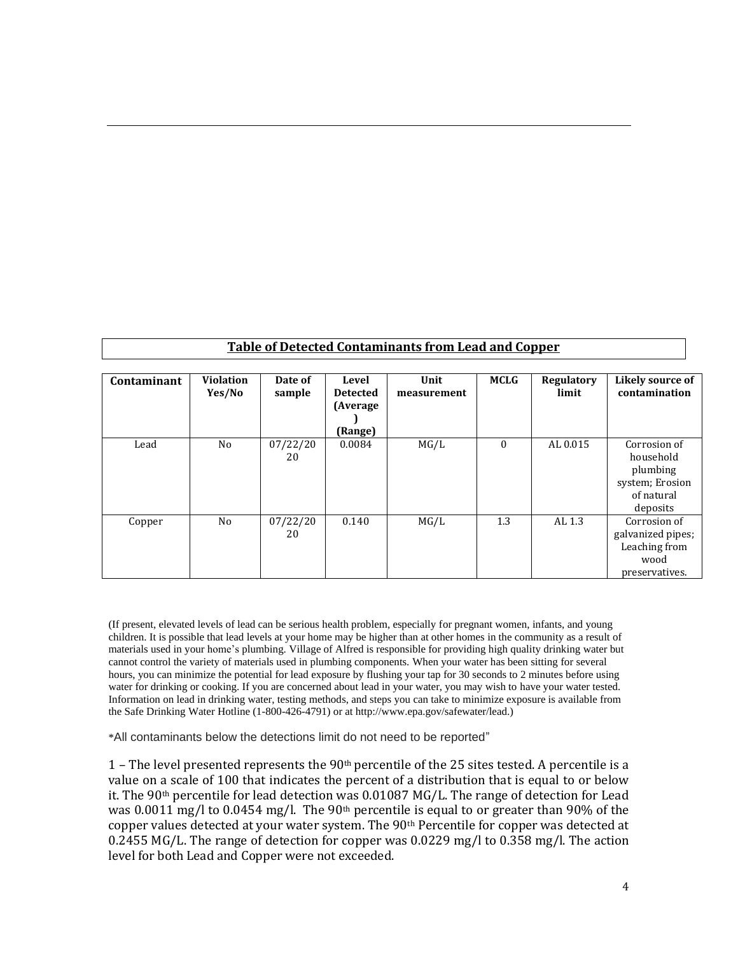| Contaminant | <b>Violation</b><br>Yes/No | Date of<br>sample | Level<br><b>Detected</b><br>(Average)<br>(Range) | Unit<br>measurement | <b>MCLG</b>  | Regulatory<br>limit | Likely source of<br>contamination                                                  |
|-------------|----------------------------|-------------------|--------------------------------------------------|---------------------|--------------|---------------------|------------------------------------------------------------------------------------|
| Lead        | No                         | 07/22/20<br>20    | 0.0084                                           | MG/L                | $\mathbf{0}$ | AL 0.015            | Corrosion of<br>household<br>plumbing<br>system; Erosion<br>of natural<br>deposits |
| Copper      | N <sub>o</sub>             | 07/22/20<br>20    | 0.140                                            | MG/L                | 1.3          | AL 1.3              | Corrosion of<br>galvanized pipes;<br>Leaching from<br>wood<br>preservatives.       |

**Table of Detected Contaminants from Lead and Copper**

(If present, elevated levels of lead can be serious health problem, especially for pregnant women, infants, and young children. It is possible that lead levels at your home may be higher than at other homes in the community as a result of materials used in your home's plumbing. Village of Alfred is responsible for providing high quality drinking water but cannot control the variety of materials used in plumbing components. When your water has been sitting for several hours, you can minimize the potential for lead exposure by flushing your tap for 30 seconds to 2 minutes before using water for drinking or cooking. If you are concerned about lead in your water, you may wish to have your water tested. Information on lead in drinking water, testing methods, and steps you can take to minimize exposure is available from the Safe Drinking Water Hotline (1-800-426-4791) or at http://www.epa.gov/safewater/lead.)

\*All contaminants below the detections limit do not need to be reported"

1 – The level presented represents the 90th percentile of the 25 sites tested. A percentile is a value on a scale of 100 that indicates the percent of a distribution that is equal to or below it. The 90<sup>th</sup> percentile for lead detection was 0.01087 MG/L. The range of detection for Lead was 0.0011 mg/l to 0.0454 mg/l. The 90<sup>th</sup> percentile is equal to or greater than 90% of the copper values detected at your water system. The 90th Percentile for copper was detected at 0.2455 MG/L. The range of detection for copper was  $0.0229$  mg/l to  $0.358$  mg/l. The action level for both Lead and Copper were not exceeded.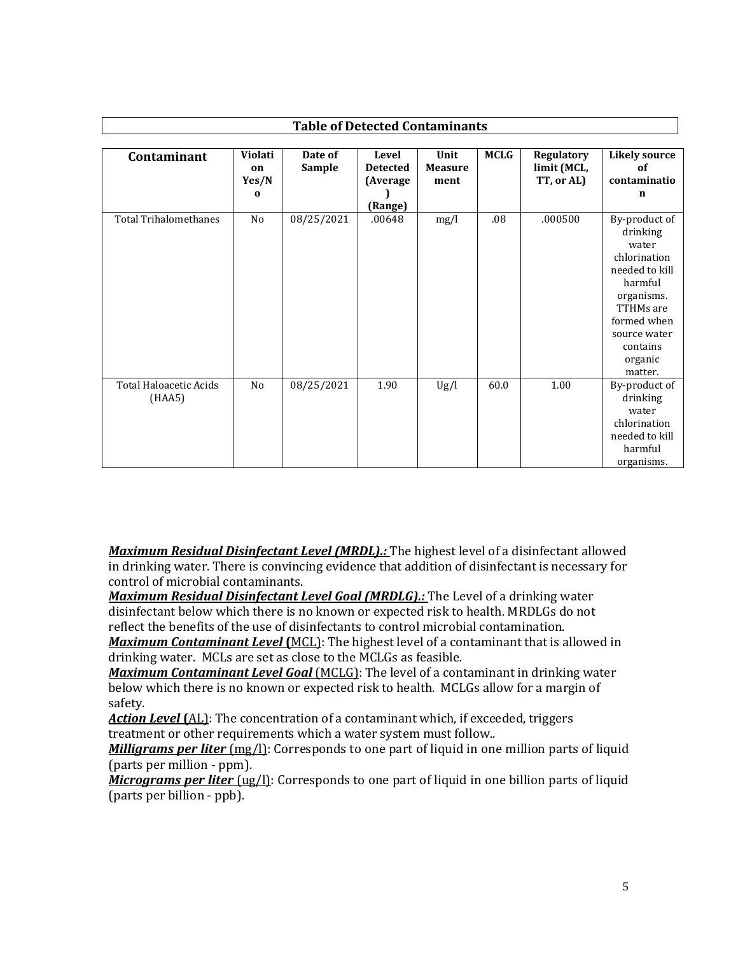| <b>Table of Detected Contaminants</b>   |                                    |                          |                                                 |                                |             |                                         |                                                                                                                                                                             |  |  |
|-----------------------------------------|------------------------------------|--------------------------|-------------------------------------------------|--------------------------------|-------------|-----------------------------------------|-----------------------------------------------------------------------------------------------------------------------------------------------------------------------------|--|--|
| Contaminant                             | Violati<br>on<br>Yes/N<br>$\bf{0}$ | Date of<br><b>Sample</b> | Level<br><b>Detected</b><br>(Average<br>(Range) | Unit<br><b>Measure</b><br>ment | <b>MCLG</b> | Regulatory<br>limit (MCL,<br>TT, or AL) | <b>Likely source</b><br>of<br>contaminatio<br>n                                                                                                                             |  |  |
| <b>Total Trihalomethanes</b>            | No                                 | 08/25/2021               | .00648                                          | mg/l                           | .08         | .000500                                 | By-product of<br>drinking<br>water<br>chlorination<br>needed to kill<br>harmful<br>organisms.<br>TTHMs are<br>formed when<br>source water<br>contains<br>organic<br>matter. |  |  |
| <b>Total Haloacetic Acids</b><br>(HAA5) | No                                 | 08/25/2021               | 1.90                                            | Ug/l                           | 60.0        | 1.00                                    | By-product of<br>drinking<br>water<br>chlorination<br>needed to kill<br>harmful<br>organisms.                                                                               |  |  |

*Maximum Residual Disinfectant Level (MRDL).:* The highest level of a disinfectant allowed in drinking water. There is convincing evidence that addition of disinfectant is necessary for control of microbial contaminants.

*Maximum Residual Disinfectant Level Goal (MRDLG).:* The Level of a drinking water disinfectant below which there is no known or expected risk to health. MRDLGs do not reflect the benefits of the use of disinfectants to control microbial contamination.

*Maximum Contaminant Level* **(**MCL): The highest level of a contaminant that is allowed in drinking water. MCLs are set as close to the MCLGs as feasible.

*Maximum Contaminant Level Goal* (MCLG): The level of a contaminant in drinking water below which there is no known or expected risk to health. MCLGs allow for a margin of safety.

*Action Level* **(**AL): The concentration of a contaminant which, if exceeded, triggers treatment or other requirements which a water system must follow..

*Milligrams per liter* (mg/l): Corresponds to one part of liquid in one million parts of liquid (parts per million - ppm).

*Micrograms per liter*  $\left(\frac{ug}{l}\right)$ : Corresponds to one part of liquid in one billion parts of liquid (parts per billion - ppb).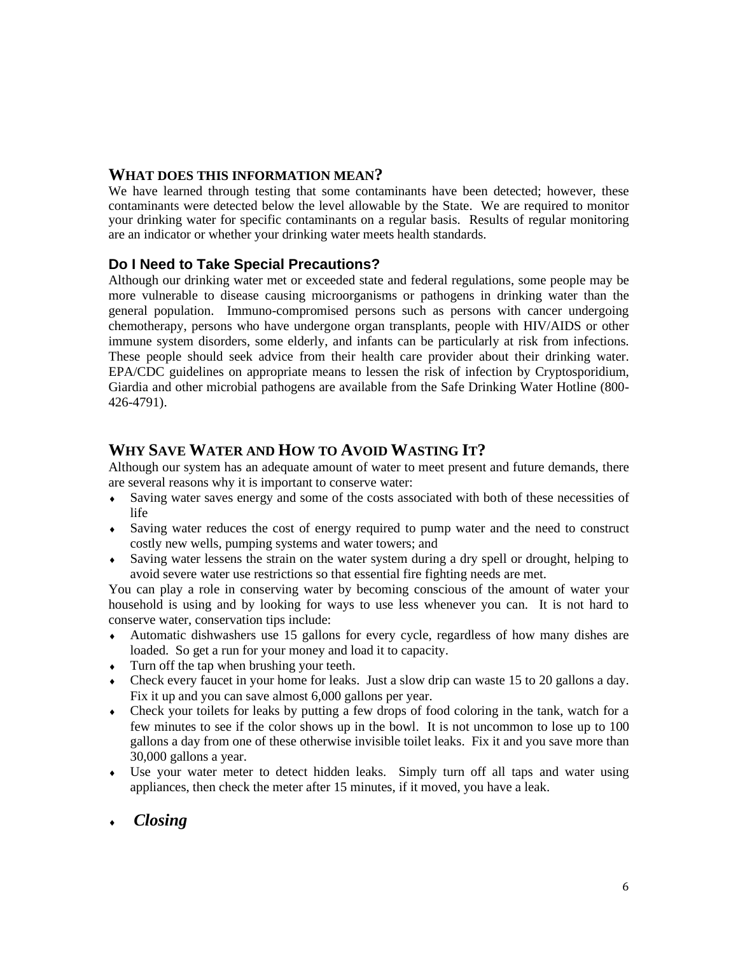## **WHAT DOES THIS INFORMATION MEAN?**

We have learned through testing that some contaminants have been detected; however, these contaminants were detected below the level allowable by the State. We are required to monitor your drinking water for specific contaminants on a regular basis. Results of regular monitoring are an indicator or whether your drinking water meets health standards.

## **Do I Need to Take Special Precautions?**

Although our drinking water met or exceeded state and federal regulations, some people may be more vulnerable to disease causing microorganisms or pathogens in drinking water than the general population. Immuno-compromised persons such as persons with cancer undergoing chemotherapy, persons who have undergone organ transplants, people with HIV/AIDS or other immune system disorders, some elderly, and infants can be particularly at risk from infections. These people should seek advice from their health care provider about their drinking water. EPA/CDC guidelines on appropriate means to lessen the risk of infection by Cryptosporidium, Giardia and other microbial pathogens are available from the Safe Drinking Water Hotline (800- 426-4791).

# **WHY SAVE WATER AND HOW TO AVOID WASTING IT?**

Although our system has an adequate amount of water to meet present and future demands, there are several reasons why it is important to conserve water:

- Saving water saves energy and some of the costs associated with both of these necessities of life
- Saving water reduces the cost of energy required to pump water and the need to construct costly new wells, pumping systems and water towers; and
- Saving water lessens the strain on the water system during a dry spell or drought, helping to avoid severe water use restrictions so that essential fire fighting needs are met.

You can play a role in conserving water by becoming conscious of the amount of water your household is using and by looking for ways to use less whenever you can. It is not hard to conserve water, conservation tips include:

- Automatic dishwashers use 15 gallons for every cycle, regardless of how many dishes are loaded. So get a run for your money and load it to capacity.
- Turn off the tap when brushing your teeth.
- Check every faucet in your home for leaks. Just a slow drip can waste 15 to 20 gallons a day. Fix it up and you can save almost 6,000 gallons per year.
- Check your toilets for leaks by putting a few drops of food coloring in the tank, watch for a few minutes to see if the color shows up in the bowl. It is not uncommon to lose up to 100 gallons a day from one of these otherwise invisible toilet leaks. Fix it and you save more than 30,000 gallons a year.
- Use your water meter to detect hidden leaks. Simply turn off all taps and water using appliances, then check the meter after 15 minutes, if it moved, you have a leak.
- *Closing*